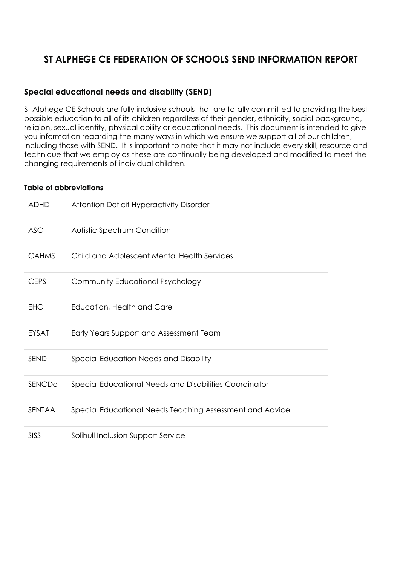## **ST ALPHEGE CE FEDERATION OF SCHOOLS SEND INFORMATION REPORT**

## **Special educational needs and disability (SEND)**

St Alphege CE Schools are fully inclusive schools that are totally committed to providing the best possible education to all of its children regardless of their gender, ethnicity, social background, religion, sexual identity, physical ability or educational needs. This document is intended to give you information regarding the many ways in which we ensure we support all of our children, including those with SEND. It is important to note that it may not include every skill, resource and technique that we employ as these are continually being developed and modified to meet the changing requirements of individual children.

## **Table of abbreviations**

| <b>ADHD</b>  | <b>Attention Deficit Hyperactivity Disorder</b>          |
|--------------|----------------------------------------------------------|
| <b>ASC</b>   | Autistic Spectrum Condition                              |
| <b>CAHMS</b> | Child and Adolescent Mental Health Services              |
| <b>CEPS</b>  | Community Educational Psychology                         |
| <b>EHC</b>   | Education, Health and Care                               |
| <b>EYSAT</b> | Early Years Support and Assessment Team                  |
| <b>SEND</b>  | Special Education Needs and Disability                   |
| SENCDo       | Special Educational Needs and Disabilities Coordinator   |
| SENTAA       | Special Educational Needs Teaching Assessment and Advice |
| <b>SISS</b>  | Solihull Inclusion Support Service                       |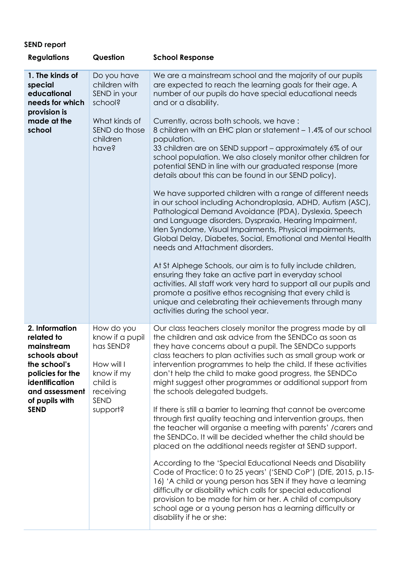## **SEND report**

| <b>Regulations</b>                                                                                                                                                   | Question                                                                                                            | <b>School Response</b>                                                                                                                                                                                                                                                                                                                                                                                                                                                                                                                                                                                                                                                                                                                                                                                                                                                                                                                                                                                                                                                                                                                                                                                                                                                                                                                                         |
|----------------------------------------------------------------------------------------------------------------------------------------------------------------------|---------------------------------------------------------------------------------------------------------------------|----------------------------------------------------------------------------------------------------------------------------------------------------------------------------------------------------------------------------------------------------------------------------------------------------------------------------------------------------------------------------------------------------------------------------------------------------------------------------------------------------------------------------------------------------------------------------------------------------------------------------------------------------------------------------------------------------------------------------------------------------------------------------------------------------------------------------------------------------------------------------------------------------------------------------------------------------------------------------------------------------------------------------------------------------------------------------------------------------------------------------------------------------------------------------------------------------------------------------------------------------------------------------------------------------------------------------------------------------------------|
| 1. The kinds of<br>special<br>educational<br>needs for which<br>provision is<br>made at the<br>school                                                                | Do you have<br>children with<br>SEND in your<br>school?<br>What kinds of<br>SEND do those<br>children<br>have?      | We are a mainstream school and the majority of our pupils<br>are expected to reach the learning goals for their age. A<br>number of our pupils do have special educational needs<br>and or a disability.<br>Currently, across both schools, we have:<br>8 children with an EHC plan or statement – 1.4% of our school<br>population.<br>33 children are on SEND support - approximately 6% of our<br>school population. We also closely monitor other children for<br>potential SEND in line with our graduated response (more<br>details about this can be found in our SEND policy).<br>We have supported children with a range of different needs<br>in our school including Achondroplasia, ADHD, Autism (ASC),<br>Pathological Demand Avoidance (PDA), Dyslexia, Speech<br>and Language disorders, Dyspraxia, Hearing Impairment,<br>Irlen Syndome, Visual Impairments, Physical impairments,<br>Global Delay, Diabetes, Social, Emotional and Mental Health<br>needs and Attachment disorders.<br>At St Alphege Schools, our aim is to fully include children,<br>ensuring they take an active part in everyday school<br>activities. All staff work very hard to support all our pupils and<br>promote a positive ethos recognising that every child is<br>unique and celebrating their achievements through many<br>activities during the school year. |
| 2. Information<br>related to<br>mainstream<br>schools about<br>the school's<br>policies for the<br>identification<br>and assessment<br>of pupils with<br><b>SEND</b> | How do you<br>know if a pupil<br>has SEND?<br>How will I<br>know if my<br>child is<br>receiving<br>SEND<br>support? | Our class teachers closely monitor the progress made by all<br>the children and ask advice from the SENDCo as soon as<br>they have concerns about a pupil. The SENDCo supports<br>class teachers to plan activities such as small group work or<br>intervention programmes to help the child. If these activities<br>don't help the child to make good progress, the SENDCo<br>might suggest other programmes or additional support from<br>the schools delegated budgets.<br>If there is still a barrier to learning that cannot be overcome<br>through first quality teaching and intervention groups, then<br>the teacher will organise a meeting with parents' /carers and<br>the SENDCo. It will be decided whether the child should be<br>placed on the additional needs register at SEND support.<br>According to the 'Special Educational Needs and Disability<br>Code of Practice: 0 to 25 years' ('SEND CoP') (DfE, 2015, p.15-<br>16) 'A child or young person has SEN if they have a learning<br>difficulty or disability which calls for special educational<br>provision to be made for him or her. A child of compulsory<br>school age or a young person has a learning difficulty or<br>disability if he or she:                                                                                                                               |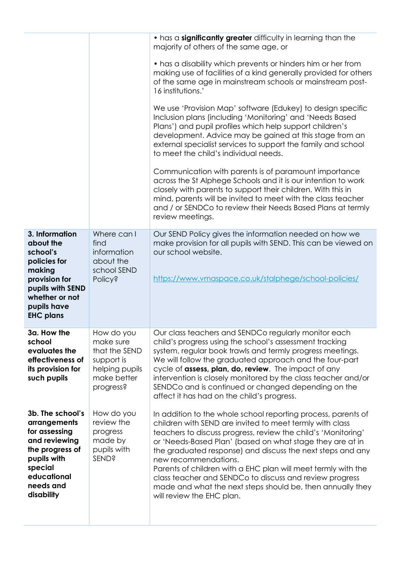|                                                                                                                                                             |                                                                                                      | • has a significantly greater difficulty in learning than the<br>majority of others of the same age, or<br>• has a disability which prevents or hinders him or her from<br>making use of facilities of a kind generally provided for others<br>of the same age in mainstream schools or mainstream post-<br>16 institutions.'<br>We use 'Provision Map' software (Edukey) to design specific<br>Inclusion plans (including 'Monitoring' and 'Needs Based<br>Plans') and pupil profiles which help support children's<br>development. Advice may be gained at this stage from an<br>external specialist services to support the family and school<br>to meet the child's individual needs.<br>Communication with parents is of paramount importance<br>across the St Alphege Schools and it is our intention to work<br>closely with parents to support their children. With this in<br>mind, parents will be invited to meet with the class teacher<br>and / or SENDCo to review their Needs Based Plans at termly<br>review meetings. |
|-------------------------------------------------------------------------------------------------------------------------------------------------------------|------------------------------------------------------------------------------------------------------|----------------------------------------------------------------------------------------------------------------------------------------------------------------------------------------------------------------------------------------------------------------------------------------------------------------------------------------------------------------------------------------------------------------------------------------------------------------------------------------------------------------------------------------------------------------------------------------------------------------------------------------------------------------------------------------------------------------------------------------------------------------------------------------------------------------------------------------------------------------------------------------------------------------------------------------------------------------------------------------------------------------------------------------|
| 3. Information<br>about the<br>school's<br>policies for<br>making<br>provision for<br>pupils with SEND<br>whether or not<br>pupils have<br><b>EHC plans</b> | Where can I<br>find<br>information<br>about the<br>school SEND<br><b>Policy?</b>                     | Our SEND Policy gives the information needed on how we<br>make provision for all pupils with SEND. This can be viewed on<br>our school website.<br>https://www.vmaspace.co.uk/stalphege/school-policies/                                                                                                                                                                                                                                                                                                                                                                                                                                                                                                                                                                                                                                                                                                                                                                                                                               |
| 3a. How the<br>school<br>evaluates the<br>effectiveness of<br>its provision for<br>such pupils                                                              | How do you<br>make sure<br>that the SEND<br>support is<br>helping pupils<br>make better<br>progress? | Our class teachers and SENDCo regularly monitor each<br>child's progress using the school's assessment tracking<br>system, regular book trawls and termly progress meetings.<br>We will follow the graduated approach and the four-part<br>cycle of assess, plan, do, review. The impact of any<br>intervention is closely monitored by the class teacher and/or<br>SENDCo and is continued or changed depending on the<br>affect it has had on the child's progress.                                                                                                                                                                                                                                                                                                                                                                                                                                                                                                                                                                  |
| 3b. The school's<br>arrangements<br>for assessing<br>and reviewing<br>the progress of<br>pupils with<br>special<br>educational<br>needs and<br>disability   | How do you<br>review the<br>progress<br>made by<br>pupils with<br><b>SEND?</b>                       | In addition to the whole school reporting process, parents of<br>children with SEND are invited to meet termly with class<br>teachers to discuss progress, review the child's 'Monitoring'<br>or 'Needs-Based Plan' (based on what stage they are at in<br>the graduated response) and discuss the next steps and any<br>new recommendations.<br>Parents of children with a EHC plan will meet termly with the<br>class teacher and SENDCo to discuss and review progress<br>made and what the next steps should be, then annually they<br>will review the EHC plan.                                                                                                                                                                                                                                                                                                                                                                                                                                                                   |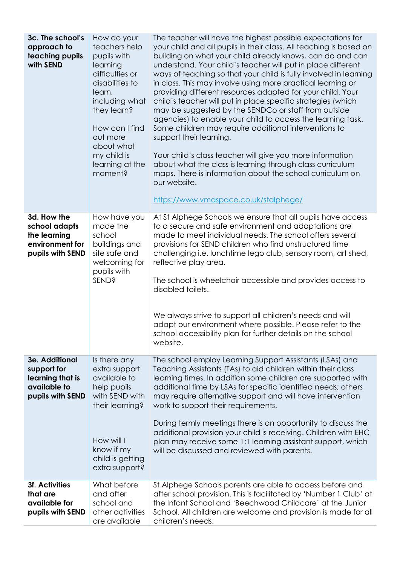| 3c. The school's<br>approach to<br>teaching pupils<br>with SEND                       | How do your<br>teachers help<br>pupils with<br>learning<br>difficulties or<br>disabilities to<br>learn,<br>including what<br>they learn?<br>How can I find<br>out more<br>about what<br>my child is<br>learning at the<br>moment? | The teacher will have the highest possible expectations for<br>your child and all pupils in their class. All teaching is based on<br>building on what your child already knows, can do and can<br>understand. Your child's teacher will put in place different<br>ways of teaching so that your child is fully involved in learning<br>in class. This may involve using more practical learning or<br>providing different resources adapted for your child. Your<br>child's teacher will put in place specific strategies (which<br>may be suggested by the SENDCo or staff from outside<br>agencies) to enable your child to access the learning task.<br>Some children may require additional interventions to<br>support their learning.<br>Your child's class teacher will give you more information<br>about what the class is learning through class curriculum<br>maps. There is information about the school curriculum on<br>our website.<br>https://www.vmaspace.co.uk/stalphege/ |
|---------------------------------------------------------------------------------------|-----------------------------------------------------------------------------------------------------------------------------------------------------------------------------------------------------------------------------------|---------------------------------------------------------------------------------------------------------------------------------------------------------------------------------------------------------------------------------------------------------------------------------------------------------------------------------------------------------------------------------------------------------------------------------------------------------------------------------------------------------------------------------------------------------------------------------------------------------------------------------------------------------------------------------------------------------------------------------------------------------------------------------------------------------------------------------------------------------------------------------------------------------------------------------------------------------------------------------------------|
| 3d. How the<br>school adapts<br>the learning<br>environment for<br>pupils with SEND   | How have you<br>made the<br>school<br>buildings and<br>site safe and<br>welcoming for<br>pupils with<br><b>SEND?</b>                                                                                                              | At St Alphege Schools we ensure that all pupils have access<br>to a secure and safe environment and adaptations are<br>made to meet individual needs. The school offers several<br>provisions for SEND children who find unstructured time<br>challenging i.e. lunchtime lego club, sensory room, art shed,<br>reflective play area.<br>The school is wheelchair accessible and provides access to<br>disabled toilets.<br>We always strive to support all children's needs and will<br>adapt our environment where possible. Please refer to the<br>school accessibility plan for further details on the school<br>website.                                                                                                                                                                                                                                                                                                                                                                |
| 3e. Additional<br>support for<br>learning that is<br>available to<br>pupils with SEND | Is there any<br>extra support<br>available to<br>help pupils<br>with SEND with<br>their learning?<br>How will I<br>know if my<br>child is getting<br>extra support?                                                               | The school employ Learning Support Assistants (LSAs) and<br>Teaching Assistants (TAs) to aid children within their class<br>learning times. In addition some children are supported with<br>additional time by LSAs for specific identified needs; others<br>may require alternative support and will have intervention<br>work to support their requirements.<br>During termly meetings there is an opportunity to discuss the<br>additional provision your child is receiving. Children with EHC<br>plan may receive some 1:1 learning assistant support, which<br>will be discussed and reviewed with parents.                                                                                                                                                                                                                                                                                                                                                                           |
| <b>3f. Activities</b><br>that are<br>available for<br>pupils with SEND                | What before<br>and after<br>school and<br>other activities<br>are available                                                                                                                                                       | St Alphege Schools parents are able to access before and<br>after school provision. This is facilitated by 'Number 1 Club' at<br>the Infant School and 'Beechwood Childcare' at the Junior<br>School. All children are welcome and provision is made for all<br>children's needs.                                                                                                                                                                                                                                                                                                                                                                                                                                                                                                                                                                                                                                                                                                           |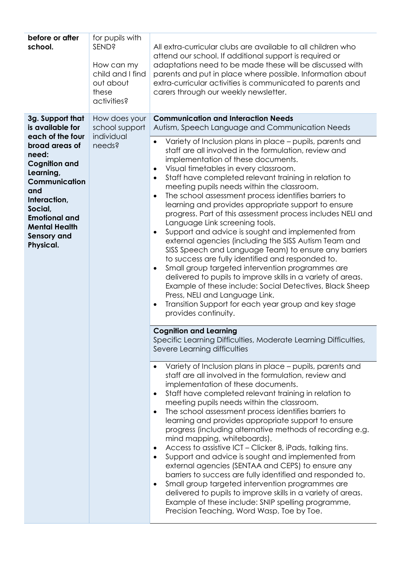| before or after<br>school.                                                                                                                                                                                                                                     | for pupils with<br><b>SEND?</b><br>How can my<br>child and I find<br>out about<br>these<br>activities? | All extra-curricular clubs are available to all children who<br>attend our school. If additional support is required or<br>adaptations need to be made these will be discussed with<br>parents and put in place where possible. Information about<br>extra-curricular activities is communicated to parents and<br>carers through our weekly newsletter.                                                                                                                                                                                                                                                                                                                                                                                                                                                                                                                                                                                                                                                                                                                                                                                                                                                                                                                                                                                                                                                                                                                                                                                                                                                                                                                                                                                                                                                                                                                                                                                                                                                                                                                                                                                                                                                                                                                                                                                                                                                        |  |
|----------------------------------------------------------------------------------------------------------------------------------------------------------------------------------------------------------------------------------------------------------------|--------------------------------------------------------------------------------------------------------|-----------------------------------------------------------------------------------------------------------------------------------------------------------------------------------------------------------------------------------------------------------------------------------------------------------------------------------------------------------------------------------------------------------------------------------------------------------------------------------------------------------------------------------------------------------------------------------------------------------------------------------------------------------------------------------------------------------------------------------------------------------------------------------------------------------------------------------------------------------------------------------------------------------------------------------------------------------------------------------------------------------------------------------------------------------------------------------------------------------------------------------------------------------------------------------------------------------------------------------------------------------------------------------------------------------------------------------------------------------------------------------------------------------------------------------------------------------------------------------------------------------------------------------------------------------------------------------------------------------------------------------------------------------------------------------------------------------------------------------------------------------------------------------------------------------------------------------------------------------------------------------------------------------------------------------------------------------------------------------------------------------------------------------------------------------------------------------------------------------------------------------------------------------------------------------------------------------------------------------------------------------------------------------------------------------------------------------------------------------------------------------------------------------------|--|
| 3g. Support that<br>is available for<br>each of the four<br>broad areas of<br>need:<br><b>Cognition and</b><br>Learning,<br>Communication<br>and<br>Interaction,<br>Social,<br><b>Emotional and</b><br><b>Mental Health</b><br><b>Sensory and</b><br>Physical. | How does your<br>school support<br>individual<br>needs?                                                | <b>Communication and Interaction Needs</b><br>Autism, Speech Language and Communication Needs<br>Variety of Inclusion plans in place – pupils, parents and<br>$\bullet$<br>staff are all involved in the formulation, review and<br>implementation of these documents.<br>Visual timetables in every classroom.<br>$\bullet$<br>Staff have completed relevant training in relation to<br>$\bullet$<br>meeting pupils needs within the classroom.<br>The school assessment process identifies barriers to<br>$\bullet$<br>learning and provides appropriate support to ensure<br>progress. Part of this assessment process includes NELI and<br>Language Link screening tools.<br>Support and advice is sought and implemented from<br>$\bullet$<br>external agencies (including the SISS Autism Team and<br>SISS Speech and Language Team) to ensure any barriers<br>to success are fully identified and responded to.<br>Small group targeted intervention programmes are<br>$\bullet$<br>delivered to pupils to improve skills in a variety of areas.<br>Example of these include: Social Detectives, Black Sheep<br>Press, NELI and Language Link.<br>Transition Support for each year group and key stage<br>$\bullet$<br>provides continuity.<br><b>Cognition and Learning</b><br>Specific Learning Difficulties, Moderate Learning Difficulties,<br>Severe Learning difficulties<br>Variety of Inclusion plans in place - pupils, parents and<br>$\bullet$<br>staff are all involved in the formulation, review and<br>implementation of these documents.<br>Staff have completed relevant training in relation to<br>$\bullet$<br>meeting pupils needs within the classroom.<br>The school assessment process identifies barriers to<br>$\bullet$<br>learning and provides appropriate support to ensure<br>progress (including alternative methods of recording e.g.<br>mind mapping, whiteboards).<br>Access to assistive ICT - Clicker 8, iPads, talking tins.<br>$\bullet$<br>Support and advice is sought and implemented from<br>$\bullet$<br>external agencies (SENTAA and CEPS) to ensure any<br>barriers to success are fully identified and responded to.<br>Small group targeted intervention programmes are<br>$\bullet$<br>delivered to pupils to improve skills in a variety of areas.<br>Example of these include: SNIP spelling programme,<br>Precision Teaching, Word Wasp, Toe by Toe. |  |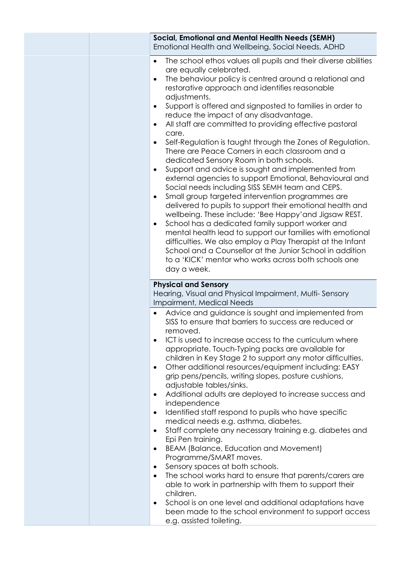| <b>Social, Emotional and Mental Health Needs (SEMH)</b><br>Emotional Health and Wellbeing, Social Needs, ADHD                                                                                                                                                                                                                                                                                                                                                                                                                                                                                                                                                                                                                                                                                                                                                                                                                                                                                                                                                                                                                                                                                                                                |
|----------------------------------------------------------------------------------------------------------------------------------------------------------------------------------------------------------------------------------------------------------------------------------------------------------------------------------------------------------------------------------------------------------------------------------------------------------------------------------------------------------------------------------------------------------------------------------------------------------------------------------------------------------------------------------------------------------------------------------------------------------------------------------------------------------------------------------------------------------------------------------------------------------------------------------------------------------------------------------------------------------------------------------------------------------------------------------------------------------------------------------------------------------------------------------------------------------------------------------------------|
| The school ethos values all pupils and their diverse abilities<br>are equally celebrated.<br>The behaviour policy is centred around a relational and<br>restorative approach and identifies reasonable<br>adjustments.<br>Support is offered and signposted to families in order to<br>reduce the impact of any disadvantage.<br>All staff are committed to providing effective pastoral<br>٠<br>care.<br>Self-Regulation is taught through the Zones of Regulation.<br>There are Peace Corners in each classroom and a<br>dedicated Sensory Room in both schools.<br>Support and advice is sought and implemented from<br>external agencies to support Emotional, Behavioural and<br>Social needs including SISS SEMH team and CEPS.<br>Small group targeted intervention programmes are<br>٠<br>delivered to pupils to support their emotional health and<br>wellbeing. These include: 'Bee Happy'and Jigsaw REST.<br>School has a dedicated family support worker and<br>٠<br>mental health lead to support our families with emotional<br>difficulties. We also employ a Play Therapist at the Infant<br>School and a Counsellor at the Junior School in addition<br>to a 'KICK' mentor who works across both schools one<br>day a week. |
| <b>Physical and Sensory</b><br>Hearing, Visual and Physical Impairment, Multi-Sensory<br>Impairment, Medical Needs                                                                                                                                                                                                                                                                                                                                                                                                                                                                                                                                                                                                                                                                                                                                                                                                                                                                                                                                                                                                                                                                                                                           |
| Advice and guidance is sought and implemented from<br>SISS to ensure that barriers to success are reduced or<br>removed.<br>ICT is used to increase access to the curriculum where<br>appropriate. Touch-Typing packs are available for<br>children in Key Stage 2 to support any motor difficulties.<br>Other additional resources/equipment including: EASY<br>٠<br>grip pens/pencils, writing slopes, posture cushions,<br>adjustable tables/sinks.<br>Additional adults are deployed to increase success and<br>٠<br>independence<br>Identified staff respond to pupils who have specific<br>٠<br>medical needs e.g. asthma, diabetes.<br>Staff complete any necessary training e.g. diabetes and<br>٠<br>Epi Pen training.<br>BEAM (Balance, Education and Movement)<br>٠<br>Programme/SMART moves.<br>Sensory spaces at both schools.<br>٠<br>The school works hard to ensure that parents/carers are<br>٠<br>able to work in partnership with them to support their<br>children.<br>School is on one level and additional adaptations have<br>٠<br>been made to the school environment to support access<br>e.g. assisted toileting.                                                                                                  |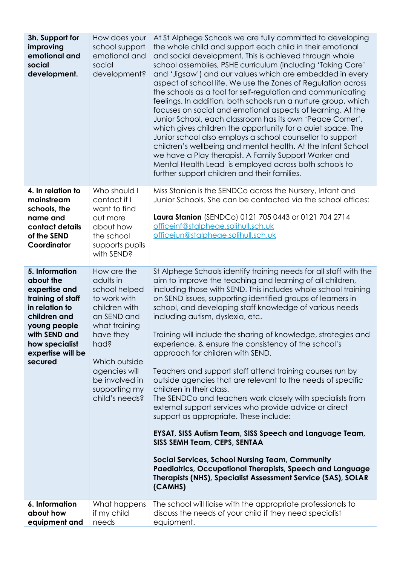| 3h. Support for<br>improving<br>emotional and<br>social<br>development.                                                                                                                | How does your<br>school support<br>emotional and<br>social<br>development?                                                                                                                                             | At St Alphege Schools we are fully committed to developing<br>the whole child and support each child in their emotional<br>and social development. This is achieved through whole<br>school assemblies, PSHE curriculum (including 'Taking Care'<br>and 'Jigsaw') and our values which are embedded in every<br>aspect of school life. We use the Zones of Regulation across<br>the schools as a tool for self-regulation and communicating<br>feelings. In addition, both schools run a nurture group, which<br>focuses on social and emotional aspects of learning. At the<br>Junior School, each classroom has its own 'Peace Corner',<br>which gives children the opportunity for a quiet space. The<br>Junior school also employs a school counsellor to support<br>children's wellbeing and mental health. At the Infant School<br>we have a Play therapist. A Family Support Worker and<br>Mental Health Lead is employed across both schools to<br>further support children and their families.                                                                                                                                                           |  |
|----------------------------------------------------------------------------------------------------------------------------------------------------------------------------------------|------------------------------------------------------------------------------------------------------------------------------------------------------------------------------------------------------------------------|-------------------------------------------------------------------------------------------------------------------------------------------------------------------------------------------------------------------------------------------------------------------------------------------------------------------------------------------------------------------------------------------------------------------------------------------------------------------------------------------------------------------------------------------------------------------------------------------------------------------------------------------------------------------------------------------------------------------------------------------------------------------------------------------------------------------------------------------------------------------------------------------------------------------------------------------------------------------------------------------------------------------------------------------------------------------------------------------------------------------------------------------------------------------|--|
| 4. In relation to<br>mainstream<br>schools, the<br>name and<br>contact details<br>of the SEND<br>Coordinator                                                                           | Who should I<br>contact if I<br>want to find<br>out more<br>about how<br>the school<br>supports pupils<br>with SEND?                                                                                                   | Miss Stanion is the SENDCo across the Nursery, Infant and<br>Junior Schools. She can be contacted via the school offices:<br>Laura Stanion (SENDCo) 0121 705 0443 or 0121 704 2714<br>officeinf@stalphege.solihull.sch.uk<br>officejun@stalphege.solihull.sch.uk                                                                                                                                                                                                                                                                                                                                                                                                                                                                                                                                                                                                                                                                                                                                                                                                                                                                                                  |  |
| 5. Information<br>about the<br>expertise and<br>training of staff<br>in relation to<br>children and<br>young people<br>with SEND and<br>how specialist<br>expertise will be<br>secured | How are the<br>adults in<br>school helped<br>to work with<br>children with<br>an SEND and<br>what training<br>have they<br>had?<br>Which outside<br>agencies will<br>be involved in<br>supporting my<br>child's needs? | St Alphege Schools identify training needs for all staff with the<br>aim to improve the teaching and learning of all children,<br>including those with SEND. This includes whole school training<br>on SEND issues, supporting identified groups of learners in<br>school, and developing staff knowledge of various needs<br>including autism, dyslexia, etc.<br>Training will include the sharing of knowledge, strategies and<br>experience, & ensure the consistency of the school's<br>approach for children with SEND.<br>Teachers and support staff attend training courses run by<br>outside agencies that are relevant to the needs of specific<br>children in their class.<br>The SENDCo and teachers work closely with specialists from<br>external support services who provide advice or direct<br>support as appropriate. These include:<br><b>EYSAT, SISS Autism Team, SISS Speech and Language Team,</b><br>SISS SEMH Team, CEPS, SENTAA<br><b>Social Services, School Nursing Team, Community</b><br><b>Paediatrics, Occupational Therapists, Speech and Language</b><br>Therapists (NHS), Specialist Assessment Service (SAS), SOLAR<br>(CAMHS) |  |
| 6. Information<br>about how<br>equipment and                                                                                                                                           | What happens<br>if my child<br>needs                                                                                                                                                                                   | The school will liaise with the appropriate professionals to<br>discuss the needs of your child if they need specialist<br>equipment.                                                                                                                                                                                                                                                                                                                                                                                                                                                                                                                                                                                                                                                                                                                                                                                                                                                                                                                                                                                                                             |  |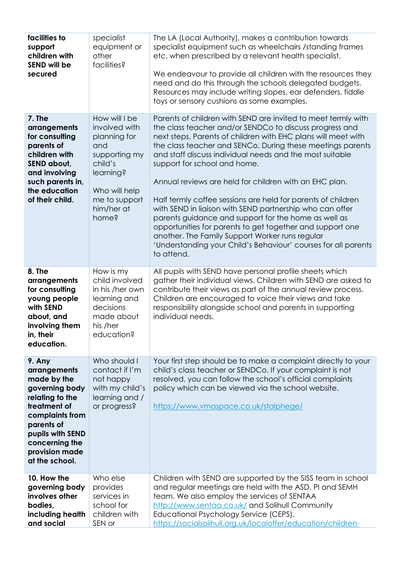| facilities to<br>support<br>children with<br><b>SEND will be</b><br>secured                                                                                                                           | specialist<br>equipment or<br>other<br>facilities?                                                                                                      | The LA (Local Authority), makes a contribution towards<br>specialist equipment such as wheelchairs / standing frames<br>etc. when prescribed by a relevant health specialist.<br>We endeavour to provide all children with the resources they<br>need and do this through the schools delegated budgets.<br>Resources may include writing slopes, ear defenders, fiddle<br>toys or sensory cushions as some examples.                                                                                                                                                                                                                                                                                                                                                                             |
|-------------------------------------------------------------------------------------------------------------------------------------------------------------------------------------------------------|---------------------------------------------------------------------------------------------------------------------------------------------------------|---------------------------------------------------------------------------------------------------------------------------------------------------------------------------------------------------------------------------------------------------------------------------------------------------------------------------------------------------------------------------------------------------------------------------------------------------------------------------------------------------------------------------------------------------------------------------------------------------------------------------------------------------------------------------------------------------------------------------------------------------------------------------------------------------|
| 7. The<br>arrangements<br>for consulting<br>parents of<br>children with<br>SEND about,<br>and involving<br>such parents in,<br>the education<br>of their child.                                       | How will I be<br>involved with<br>planning for<br>and<br>supporting my<br>child's<br>learning?<br>Who will help<br>me to support<br>him/her at<br>home? | Parents of children with SEND are invited to meet termly with<br>the class teacher and/or SENDCo to discuss progress and<br>next steps. Parents of children with EHC plans will meet with<br>the class teacher and SENCo. During these meetings parents<br>and staff discuss individual needs and the most suitable<br>support for school and home.<br>Annual reviews are held for children with an EHC plan.<br>Half termly coffee sessions are held for parents of children<br>with SEND in liaison with SEND partnership who can offer<br>parents guidance and support for the home as well as<br>opportunities for parents to get together and support one<br>another. The Family Support Worker runs regular<br>'Understanding your Child's Behaviour' courses for all parents<br>to attend. |
| 8. The<br>arrangements<br>for consulting<br>young people<br>with SEND<br>about, and<br>involving them<br>in, their<br>education.                                                                      | How is my<br>child involved<br>in his /her own<br>learning and<br>decisions<br>made about<br>his /her<br>education?                                     | All pupils with SEND have personal profile sheets which<br>gather their individual views. Children with SEND are asked to<br>contribute their views as part of the annual review process.<br>Children are encouraged to voice their views and take<br>responsibility alongside school and parents in supporting<br>individual needs.                                                                                                                                                                                                                                                                                                                                                                                                                                                              |
| 9. Any<br>arrangements<br>made by the<br>governing body<br>relating to the<br>treatment of<br>complaints from<br>parents of<br>pupils with SEND<br>concerning the<br>provision made<br>at the school. | Who should I<br>contact if I'm<br>not happy<br>with my child's<br>learning and /<br>or progress?                                                        | Your first step should be to make a complaint directly to your<br>child's class teacher or SENDCo. If your complaint is not<br>resolved, you can follow the school's official complaints<br>policy which can be viewed via the school website.<br>https://www.vmaspace.co.uk/stalphege/                                                                                                                                                                                                                                                                                                                                                                                                                                                                                                           |
| 10. How the<br>governing body<br>involves other<br>bodies,<br>including health<br>and social                                                                                                          | Who else<br>provides<br>services in<br>school for<br>children with<br>SEN or                                                                            | Children with SEND are supported by the SISS team in school<br>and regular meetings are held with the ASD, PI and SEMH<br>team. We also employ the services of SENTAA<br>http://www.sentaa.co.uk/ and Solihull Community<br>Educational Psychology Service (CEPS).<br>https://socialsolihull.org.uk/localoffer/education/children-                                                                                                                                                                                                                                                                                                                                                                                                                                                                |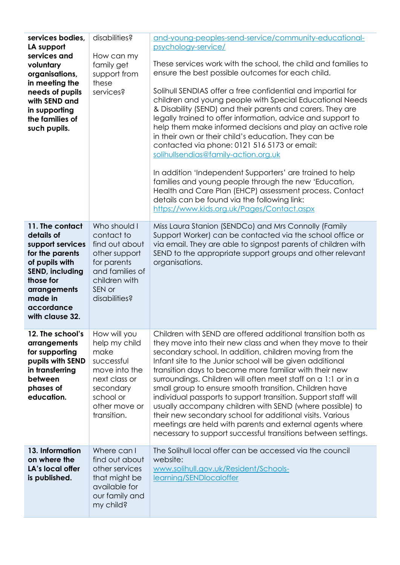| services bodies,<br>LA support<br>services and<br>voluntary<br>organisations,<br>in meeting the<br>needs of pupils<br>with SEND and<br>in supporting<br>the families of<br>such pupils.   | disabilities?<br>How can my<br>family get<br>support from<br>these<br>services?                                                                 | and-young-peoples-send-service/community-educational-<br>psychology-service/<br>These services work with the school, the child and families to<br>ensure the best possible outcomes for each child.<br>Solihull SENDIAS offer a free confidential and impartial for<br>children and young people with Special Educational Needs<br>& Disability (SEND) and their parents and carers. They are<br>legally trained to offer information, advice and support to<br>help them make informed decisions and play an active role<br>in their own or their child's education. They can be<br>contacted via phone: 0121 516 5173 or email:<br>solihullsendias@family-action.org.uk<br>In addition 'Independent Supporters' are trained to help<br>families and young people through the new 'Education,<br>Health and Care Plan (EHCP) assessment process. Contact<br>details can be found via the following link:<br>https://www.kids.org.uk/Pages/Contact.aspx |
|-------------------------------------------------------------------------------------------------------------------------------------------------------------------------------------------|-------------------------------------------------------------------------------------------------------------------------------------------------|---------------------------------------------------------------------------------------------------------------------------------------------------------------------------------------------------------------------------------------------------------------------------------------------------------------------------------------------------------------------------------------------------------------------------------------------------------------------------------------------------------------------------------------------------------------------------------------------------------------------------------------------------------------------------------------------------------------------------------------------------------------------------------------------------------------------------------------------------------------------------------------------------------------------------------------------------------|
| 11. The contact<br>details of<br>support services<br>for the parents<br>of pupils with<br><b>SEND, including</b><br>those for<br>arrangements<br>made in<br>accordance<br>with clause 32. | Who should I<br>contact to<br>find out about<br>other support<br>for parents<br>and families of<br>children with<br>SEN or<br>disabilities?     | Miss Laura Stanion (SENDCo) and Mrs Connolly (Family<br>Support Worker) can be contacted via the school office or<br>via email. They are able to signpost parents of children with<br>SEND to the appropriate support groups and other relevant<br>organisations.                                                                                                                                                                                                                                                                                                                                                                                                                                                                                                                                                                                                                                                                                       |
| 12. The school's<br>arrangements<br>for supporting<br>pupils with SEND<br>in transferring<br>between<br>phases of<br>education.                                                           | How will you<br>help my child<br>make<br>successful<br>move into the<br>next class or<br>secondary<br>school or<br>other move or<br>transition. | Children with SEND are offered additional transition both as<br>they move into their new class and when they move to their<br>secondary school. In addition, children moving from the<br>Infant site to the Junior school will be given additional<br>transition days to become more familiar with their new<br>surroundings. Children will often meet staff on a 1:1 or in a<br>small group to ensure smooth transition. Children have<br>individual passports to support transition. Support staff will<br>usually accompany children with SEND (where possible) to<br>their new secondary school for additional visits. Various<br>meetings are held with parents and external agents where<br>necessary to support successful transitions between settings.                                                                                                                                                                                         |
| 13. Information<br>on where the<br>LA's local offer<br>is published.                                                                                                                      | Where can I<br>find out about<br>other services<br>that might be<br>available for<br>our family and<br>my child?                                | The Solihull local offer can be accessed via the council<br>website:<br>www.solihull.gov.uk/Resident/Schools-<br>learning/SENDlocaloffer                                                                                                                                                                                                                                                                                                                                                                                                                                                                                                                                                                                                                                                                                                                                                                                                                |